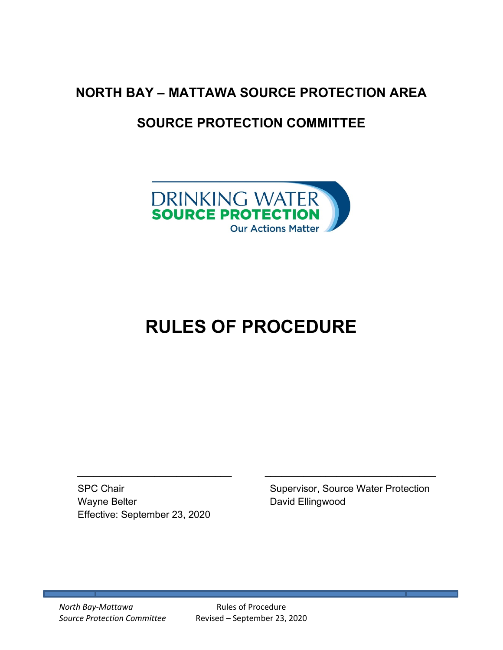# **NORTH BAY – MATTAWA SOURCE PROTECTION AREA**

# **SOURCE PROTECTION COMMITTEE**



# **RULES OF PROCEDURE**

Wayne Belter **David Ellingwood** Effective: September 23, 2020

SPC Chair Supervisor, Source Water Protection

*North Bay-Mattawa* Rules of Procedure

*Source Protection Committee* Revised – September 23, 2020

 $\_$  , and the contribution of the contribution of  $\mathcal{L}_\mathcal{L}$  , and the contribution of  $\mathcal{L}_\mathcal{L}$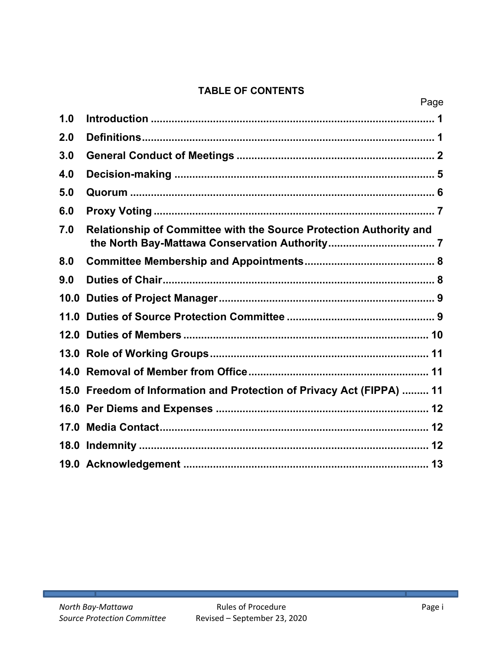# **TABLE OF CONTENTS**

|     | Page                                                                  |
|-----|-----------------------------------------------------------------------|
| 1.0 |                                                                       |
| 2.0 |                                                                       |
| 3.0 |                                                                       |
| 4.0 |                                                                       |
| 5.0 |                                                                       |
| 6.0 |                                                                       |
| 7.0 | Relationship of Committee with the Source Protection Authority and    |
| 8.0 |                                                                       |
| 9.0 |                                                                       |
|     |                                                                       |
|     |                                                                       |
|     |                                                                       |
|     |                                                                       |
|     |                                                                       |
|     | 15.0 Freedom of Information and Protection of Privacy Act (FIPPA)  11 |
|     |                                                                       |
|     |                                                                       |
|     |                                                                       |
|     |                                                                       |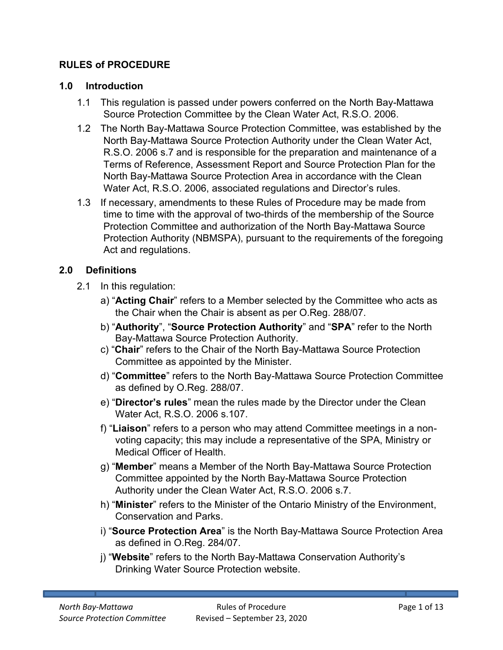#### **RULES of PROCEDURE**

#### **1.0 Introduction**

- <span id="page-2-0"></span>1.1 This regulation is passed under powers conferred on the North Bay-Mattawa Source Protection Committee by the Clean Water Act, R.S.O. 2006.
- 1.2 The North Bay-Mattawa Source Protection Committee, was established by the North Bay-Mattawa Source Protection Authority under the Clean Water Act, R.S.O. 2006 s.7 and is responsible for the preparation and maintenance of a Terms of Reference, Assessment Report and Source Protection Plan for the North Bay-Mattawa Source Protection Area in accordance with the Clean Water Act, R.S.O. 2006, associated regulations and Director's rules.
- 1.3 If necessary, amendments to these Rules of Procedure may be made from time to time with the approval of two-thirds of the membership of the Source Protection Committee and authorization of the North Bay-Mattawa Source Protection Authority (NBMSPA), pursuant to the requirements of the foregoing Act and regulations.

#### **2.0 Definitions**

- <span id="page-2-1"></span>2.1 In this regulation:
	- a) "**Acting Chair**" refers to a Member selected by the Committee who acts as the Chair when the Chair is absent as per O.Reg. 288/07.
	- b) "**Authority**", "**Source Protection Authority**" and "**SPA**" refer to the North Bay-Mattawa Source Protection Authority.
	- c) "**Chair**" refers to the Chair of the North Bay-Mattawa Source Protection Committee as appointed by the Minister.
	- d) "**Committee**" refers to the North Bay-Mattawa Source Protection Committee as defined by O.Reg. 288/07.
	- e) "**Director's rules**" mean the rules made by the Director under the Clean Water Act, R.S.O. 2006 s.107.
	- f) "**Liaison**" refers to a person who may attend Committee meetings in a nonvoting capacity; this may include a representative of the SPA, Ministry or Medical Officer of Health.
	- g) "**Member**" means a Member of the North Bay-Mattawa Source Protection Committee appointed by the North Bay-Mattawa Source Protection Authority under the Clean Water Act, R.S.O. 2006 s.7.
	- h) "**Minister**" refers to the Minister of the Ontario Ministry of the Environment, Conservation and Parks.
	- i) "**Source Protection Area**" is the North Bay-Mattawa Source Protection Area as defined in O.Reg. 284/07.
	- j) "**Website**" refers to the North Bay-Mattawa Conservation Authority's Drinking Water Source Protection website.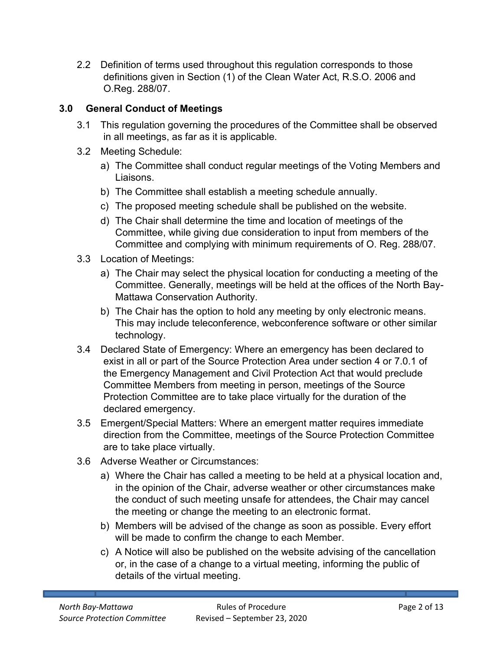2.2 Definition of terms used throughout this regulation corresponds to those definitions given in Section (1) of the Clean Water Act, R.S.O. 2006 and O.Reg. 288/07.

# **3.0 General Conduct of Meetings**

- <span id="page-3-0"></span>3.1 This regulation governing the procedures of the Committee shall be observed in all meetings, as far as it is applicable.
- 3.2 Meeting Schedule:
	- a) The Committee shall conduct regular meetings of the Voting Members and Liaisons.
	- b) The Committee shall establish a meeting schedule annually.
	- c) The proposed meeting schedule shall be published on the website.
	- d) The Chair shall determine the time and location of meetings of the Committee, while giving due consideration to input from members of the Committee and complying with minimum requirements of O. Reg. 288/07.
- 3.3 Location of Meetings:
	- a) The Chair may select the physical location for conducting a meeting of the Committee. Generally, meetings will be held at the offices of the North Bay-Mattawa Conservation Authority.
	- b) The Chair has the option to hold any meeting by only electronic means. This may include teleconference, webconference software or other similar technology.
- 3.4 Declared State of Emergency: Where an emergency has been declared to exist in all or part of the Source Protection Area under section 4 or 7.0.1 of the Emergency Management and Civil Protection Act that would preclude Committee Members from meeting in person, meetings of the Source Protection Committee are to take place virtually for the duration of the declared emergency.
- 3.5 Emergent/Special Matters: Where an emergent matter requires immediate direction from the Committee, meetings of the Source Protection Committee are to take place virtually.
- 3.6 Adverse Weather or Circumstances:
	- a) Where the Chair has called a meeting to be held at a physical location and, in the opinion of the Chair, adverse weather or other circumstances make the conduct of such meeting unsafe for attendees, the Chair may cancel the meeting or change the meeting to an electronic format.
	- b) Members will be advised of the change as soon as possible. Every effort will be made to confirm the change to each Member.
	- c) A Notice will also be published on the website advising of the cancellation or, in the case of a change to a virtual meeting, informing the public of details of the virtual meeting.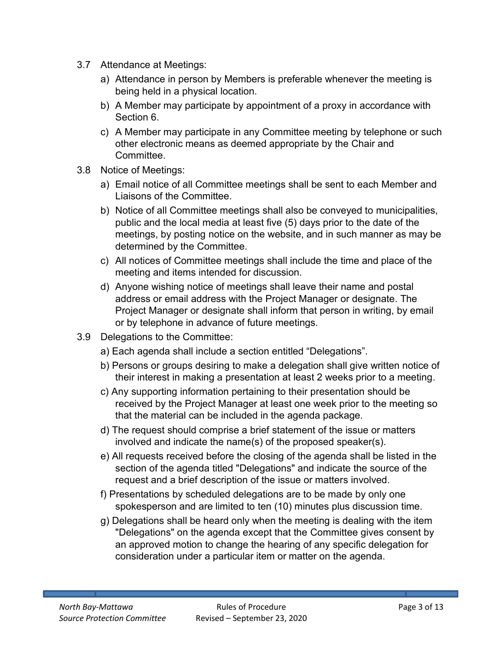- 3.7 Attendance at Meetings:
	- a) Attendance in person by Members is preferable whenever the meeting is being held in a physical location.
	- b) A Member may participate by appointment of a proxy in accordance with Section 6.
	- c) A Member may participate in any Committee meeting by telephone or such other electronic means as deemed appropriate by the Chair and **Committee**
- 3.8 Notice of Meetings:
	- a) Email notice of all Committee meetings shall be sent to each Member and Liaisons of the Committee.
	- b) Notice of all Committee meetings shall also be conveyed to municipalities, public and the local media at least five (5) days prior to the date of the meetings, by posting notice on the website, and in such manner as may be determined by the Committee.
	- c) All notices of Committee meetings shall include the time and place of the meeting and items intended for discussion.
	- d) Anyone wishing notice of meetings shall leave their name and postal address or email address with the Project Manager or designate. The Project Manager or designate shall inform that person in writing, by email or by telephone in advance of future meetings.
- 3.9 Delegations to the Committee:
	- a) Each agenda shall include a section entitled "Delegations".
	- b) Persons or groups desiring to make a delegation shall give written notice of their interest in making a presentation at least 2 weeks prior to a meeting.
	- c) Any supporting information pertaining to their presentation should be received by the Project Manager at least one week prior to the meeting so that the material can be included in the agenda package.
	- d) The request should comprise a brief statement of the issue or matters involved and indicate the name(s) of the proposed speaker(s).
	- e) All requests received before the closing of the agenda shall be listed in the section of the agenda titled "Delegations" and indicate the source of the request and a brief description of the issue or matters involved.
	- f) Presentations by scheduled delegations are to be made by only one spokesperson and are limited to ten (10) minutes plus discussion time.
	- g) Delegations shall be heard only when the meeting is dealing with the item "Delegations" on the agenda except that the Committee gives consent by an approved motion to change the hearing of any specific delegation for consideration under a particular item or matter on the agenda.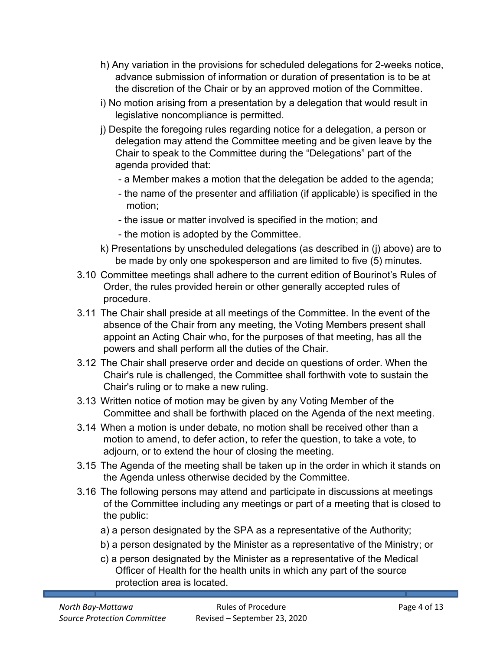- h) Any variation in the provisions for scheduled delegations for 2-weeks notice, advance submission of information or duration of presentation is to be at the discretion of the Chair or by an approved motion of the Committee.
- i) No motion arising from a presentation by a delegation that would result in legislative noncompliance is permitted.
- j) Despite the foregoing rules regarding notice for a delegation, a person or delegation may attend the Committee meeting and be given leave by the Chair to speak to the Committee during the "Delegations" part of the agenda provided that:
	- a Member makes a motion that the delegation be added to the agenda;
	- the name of the presenter and affiliation (if applicable) is specified in the motion;
	- the issue or matter involved is specified in the motion; and
	- the motion is adopted by the Committee.
- k) Presentations by unscheduled delegations (as described in (j) above) are to be made by only one spokesperson and are limited to five (5) minutes.
- 3.10 Committee meetings shall adhere to the current edition of Bourinot's Rules of Order, the rules provided herein or other generally accepted rules of procedure.
- 3.11 The Chair shall preside at all meetings of the Committee. In the event of the absence of the Chair from any meeting, the Voting Members present shall appoint an Acting Chair who, for the purposes of that meeting, has all the powers and shall perform all the duties of the Chair.
- 3.12 The Chair shall preserve order and decide on questions of order. When the Chair's rule is challenged, the Committee shall forthwith vote to sustain the Chair's ruling or to make a new ruling.
- 3.13 Written notice of motion may be given by any Voting Member of the Committee and shall be forthwith placed on the Agenda of the next meeting.
- 3.14 When a motion is under debate, no motion shall be received other than a motion to amend, to defer action, to refer the question, to take a vote, to adjourn, or to extend the hour of closing the meeting.
- 3.15 The Agenda of the meeting shall be taken up in the order in which it stands on the Agenda unless otherwise decided by the Committee.
- 3.16 The following persons may attend and participate in discussions at meetings of the Committee including any meetings or part of a meeting that is closed to the public:
	- a) a person designated by the SPA as a representative of the Authority;
	- b) a person designated by the Minister as a representative of the Ministry; or
	- c) a person designated by the Minister as a representative of the Medical Officer of Health for the health units in which any part of the source protection area is located.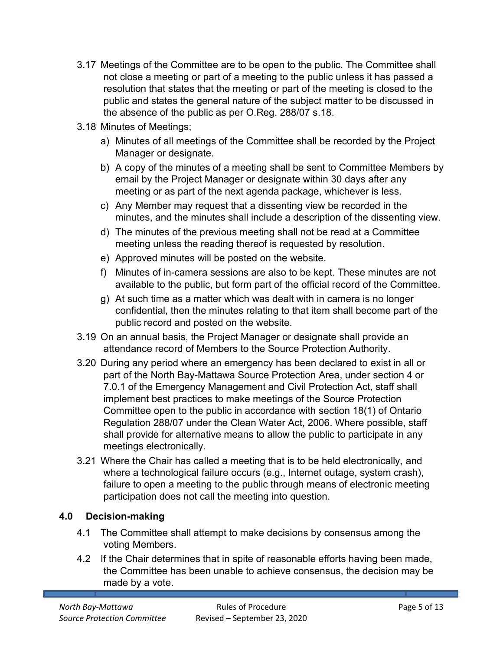- 3.17 Meetings of the Committee are to be open to the public. The Committee shall not close a meeting or part of a meeting to the public unless it has passed a resolution that states that the meeting or part of the meeting is closed to the public and states the general nature of the subject matter to be discussed in the absence of the public as per O.Reg. 288/07 s.18.
- 3.18 Minutes of Meetings;
	- a) Minutes of all meetings of the Committee shall be recorded by the Project Manager or designate.
	- b) A copy of the minutes of a meeting shall be sent to Committee Members by email by the Project Manager or designate within 30 days after any meeting or as part of the next agenda package, whichever is less.
	- c) Any Member may request that a dissenting view be recorded in the minutes, and the minutes shall include a description of the dissenting view.
	- d) The minutes of the previous meeting shall not be read at a Committee meeting unless the reading thereof is requested by resolution.
	- e) Approved minutes will be posted on the website.
	- f) Minutes of in-camera sessions are also to be kept. These minutes are not available to the public, but form part of the official record of the Committee.
	- g) At such time as a matter which was dealt with in camera is no longer confidential, then the minutes relating to that item shall become part of the public record and posted on the website.
- 3.19 On an annual basis, the Project Manager or designate shall provide an attendance record of Members to the Source Protection Authority.
- 3.20 During any period where an emergency has been declared to exist in all or part of the North Bay-Mattawa Source Protection Area, under section 4 or 7.0.1 of the Emergency Management and Civil Protection Act, staff shall implement best practices to make meetings of the Source Protection Committee open to the public in accordance with section 18(1) of Ontario Regulation 288/07 under the Clean Water Act, 2006. Where possible, staff shall provide for alternative means to allow the public to participate in any meetings electronically.
- 3.21 Where the Chair has called a meeting that is to be held electronically, and where a technological failure occurs (e.g., Internet outage, system crash), failure to open a meeting to the public through means of electronic meeting participation does not call the meeting into question.

# **4.0 Decision-making**

- <span id="page-6-0"></span>4.1 The Committee shall attempt to make decisions by consensus among the voting Members.
- 4.2 If the Chair determines that in spite of reasonable efforts having been made, the Committee has been unable to achieve consensus, the decision may be made by a vote.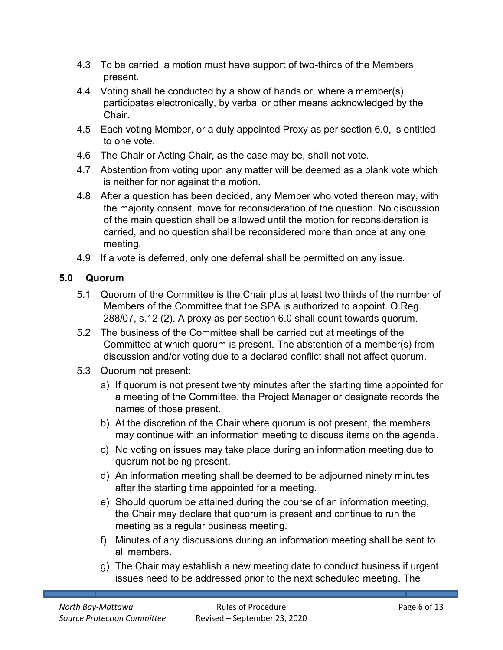- 4.3 To be carried, a motion must have support of two-thirds of the Members present.
- 4.4 Voting shall be conducted by a show of hands or, where a member(s) participates electronically, by verbal or other means acknowledged by the **Chair**
- 4.5 Each voting Member, or a duly appointed Proxy as per section 6.0, is entitled to one vote.
- 4.6 The Chair or Acting Chair, as the case may be, shall not vote.
- 4.7 Abstention from voting upon any matter will be deemed as a blank vote which is neither for nor against the motion.
- 4.8 After a question has been decided, any Member who voted thereon may, with the majority consent, move for reconsideration of the question. No discussion of the main question shall be allowed until the motion for reconsideration is carried, and no question shall be reconsidered more than once at any one meeting.
- <span id="page-7-0"></span>4.9 If a vote is deferred, only one deferral shall be permitted on any issue.

# **5.0 Quorum**

- 5.1 Quorum of the Committee is the Chair plus at least two thirds of the number of Members of the Committee that the SPA is authorized to appoint. O.Reg. 288/07, s.12 (2). A proxy as per section 6.0 shall count towards quorum.
- 5.2 The business of the Committee shall be carried out at meetings of the Committee at which quorum is present. The abstention of a member(s) from discussion and/or voting due to a declared conflict shall not affect quorum.
- 5.3 Quorum not present:
	- a) If quorum is not present twenty minutes after the starting time appointed for a meeting of the Committee, the Project Manager or designate records the names of those present.
	- b) At the discretion of the Chair where quorum is not present, the members may continue with an information meeting to discuss items on the agenda.
	- c) No voting on issues may take place during an information meeting due to quorum not being present.
	- d) An information meeting shall be deemed to be adjourned ninety minutes after the starting time appointed for a meeting.
	- e) Should quorum be attained during the course of an information meeting, the Chair may declare that quorum is present and continue to run the meeting as a regular business meeting.
	- f) Minutes of any discussions during an information meeting shall be sent to all members.
	- g) The Chair may establish a new meeting date to conduct business if urgent issues need to be addressed prior to the next scheduled meeting. The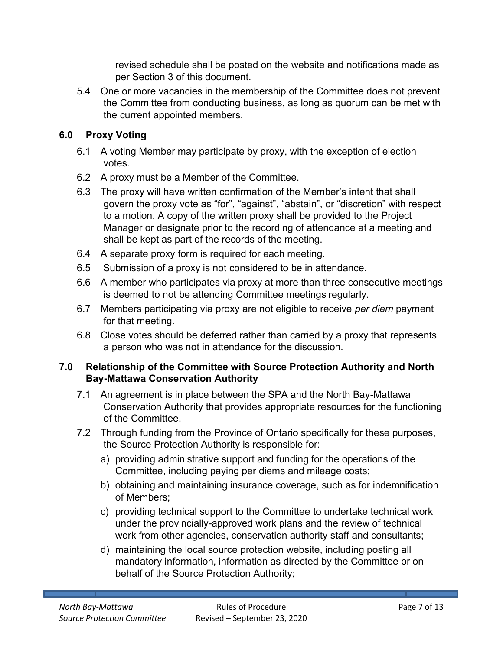revised schedule shall be posted on the website and notifications made as per Section 3 of this document.

5.4 One or more vacancies in the membership of the Committee does not prevent the Committee from conducting business, as long as quorum can be met with the current appointed members.

# <span id="page-8-0"></span>**6.0 Proxy Voting**

- 6.1 A voting Member may participate by proxy, with the exception of election votes.
- 6.2 A proxy must be a Member of the Committee.
- 6.3 The proxy will have written confirmation of the Member's intent that shall govern the proxy vote as "for", "against", "abstain", or "discretion" with respect to a motion. A copy of the written proxy shall be provided to the Project Manager or designate prior to the recording of attendance at a meeting and shall be kept as part of the records of the meeting.
- 6.4 A separate proxy form is required for each meeting.
- 6.5 Submission of a proxy is not considered to be in attendance.
- 6.6 A member who participates via proxy at more than three consecutive meetings is deemed to not be attending Committee meetings regularly.
- 6.7 Members participating via proxy are not eligible to receive *per diem* payment for that meeting.
- 6.8 Close votes should be deferred rather than carried by a proxy that represents a person who was not in attendance for the discussion.

#### <span id="page-8-1"></span>**7.0 Relationship of the Committee with Source Protection Authority and North Bay-Mattawa Conservation Authority**

- 7.1 An agreement is in place between the SPA and the North Bay-Mattawa Conservation Authority that provides appropriate resources for the functioning of the Committee.
- 7.2 Through funding from the Province of Ontario specifically for these purposes, the Source Protection Authority is responsible for:
	- a) providing administrative support and funding for the operations of the Committee, including paying per diems and mileage costs;
	- b) obtaining and maintaining insurance coverage, such as for indemnification of Members;
	- c) providing technical support to the Committee to undertake technical work under the provincially-approved work plans and the review of technical work from other agencies, conservation authority staff and consultants;
	- d) maintaining the local source protection website, including posting all mandatory information, information as directed by the Committee or on behalf of the Source Protection Authority;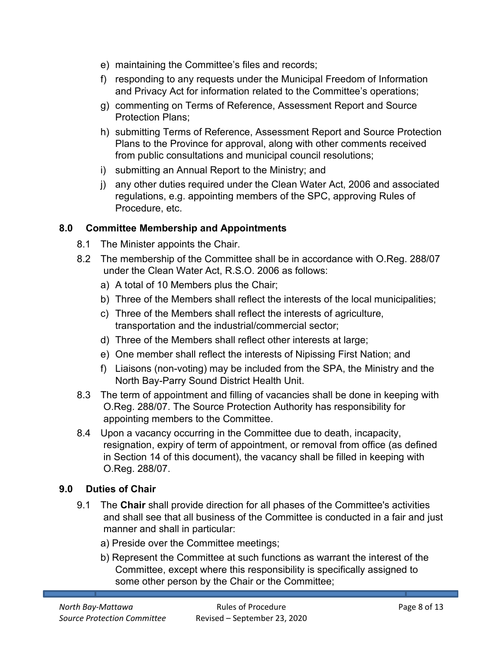- e) maintaining the Committee's files and records;
- f) responding to any requests under the Municipal Freedom of Information and Privacy Act for information related to the Committee's operations;
- g) commenting on Terms of Reference, Assessment Report and Source Protection Plans;
- h) submitting Terms of Reference, Assessment Report and Source Protection Plans to the Province for approval, along with other comments received from public consultations and municipal council resolutions;
- i) submitting an Annual Report to the Ministry; and
- j) any other duties required under the Clean Water Act, 2006 and associated regulations, e.g. appointing members of the SPC, approving Rules of Procedure, etc.

#### <span id="page-9-0"></span>**8.0 Committee Membership and Appointments**

- 8.1 The Minister appoints the Chair.
- 8.2 The membership of the Committee shall be in accordance with O.Reg. 288/07 under the Clean Water Act, R.S.O. 2006 as follows:
	- a) A total of 10 Members plus the Chair;
	- b) Three of the Members shall reflect the interests of the local municipalities;
	- c) Three of the Members shall reflect the interests of agriculture, transportation and the industrial/commercial sector;
	- d) Three of the Members shall reflect other interests at large;
	- e) One member shall reflect the interests of Nipissing First Nation; and
	- f) Liaisons (non-voting) may be included from the SPA, the Ministry and the North Bay-Parry Sound District Health Unit.
- 8.3 The term of appointment and filling of vacancies shall be done in keeping with O.Reg. 288/07. The Source Protection Authority has responsibility for appointing members to the Committee.
- 8.4 Upon a vacancy occurring in the Committee due to death, incapacity, resignation, expiry of term of appointment, or removal from office (as defined in Section 14 of this document), the vacancy shall be filled in keeping with O.Reg. 288/07.

#### **9.0 Duties of Chair**

- <span id="page-9-1"></span>9.1 The **Chair** shall provide direction for all phases of the Committee's activities and shall see that all business of the Committee is conducted in a fair and just manner and shall in particular:
	- a) Preside over the Committee meetings;
	- b) Represent the Committee at such functions as warrant the interest of the Committee, except where this responsibility is specifically assigned to some other person by the Chair or the Committee;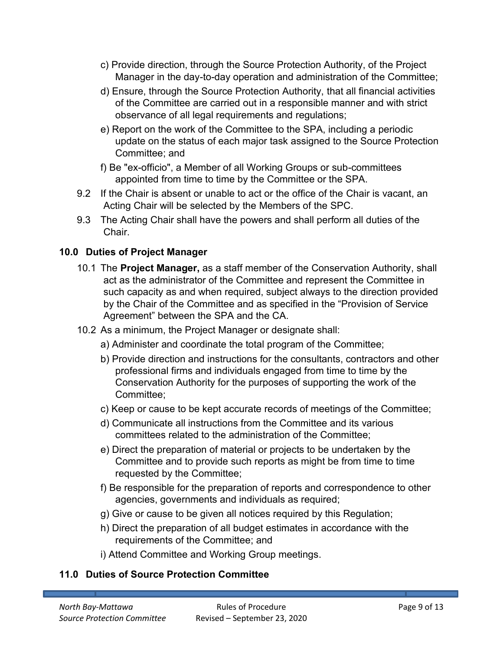- c) Provide direction, through the Source Protection Authority, of the Project Manager in the day-to-day operation and administration of the Committee;
- d) Ensure, through the Source Protection Authority, that all financial activities of the Committee are carried out in a responsible manner and with strict observance of all legal requirements and regulations;
- e) Report on the work of the Committee to the SPA, including a periodic update on the status of each major task assigned to the Source Protection Committee; and
- f) Be "ex-officio", a Member of all Working Groups or sub-committees appointed from time to time by the Committee or the SPA.
- 9.2 If the Chair is absent or unable to act or the office of the Chair is vacant, an Acting Chair will be selected by the Members of the SPC.
- 9.3 The Acting Chair shall have the powers and shall perform all duties of the **Chair**

# **10.0 Duties of Project Manager**

- <span id="page-10-0"></span>10.1 The **Project Manager,** as a staff member of the Conservation Authority, shall act as the administrator of the Committee and represent the Committee in such capacity as and when required, subject always to the direction provided by the Chair of the Committee and as specified in the "Provision of Service Agreement" between the SPA and the CA.
- 10.2 As a minimum, the Project Manager or designate shall:
	- a) Administer and coordinate the total program of the Committee;
	- b) Provide direction and instructions for the consultants, contractors and other professional firms and individuals engaged from time to time by the Conservation Authority for the purposes of supporting the work of the Committee;
	- c) Keep or cause to be kept accurate records of meetings of the Committee;
	- d) Communicate all instructions from the Committee and its various committees related to the administration of the Committee;
	- e) Direct the preparation of material or projects to be undertaken by the Committee and to provide such reports as might be from time to time requested by the Committee;
	- f) Be responsible for the preparation of reports and correspondence to other agencies, governments and individuals as required;
	- g) Give or cause to be given all notices required by this Regulation;
	- h) Direct the preparation of all budget estimates in accordance with the requirements of the Committee; and
	- i) Attend Committee and Working Group meetings.

# <span id="page-10-1"></span>**11.0 Duties of Source Protection Committee**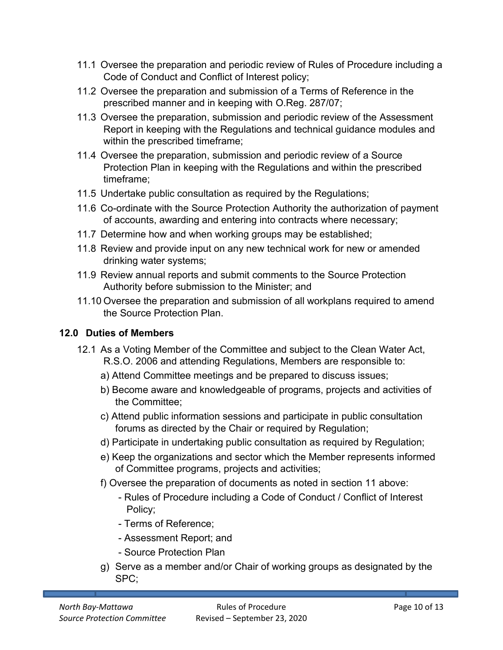- 11.1 Oversee the preparation and periodic review of Rules of Procedure including a Code of Conduct and Conflict of Interest policy;
- 11.2 Oversee the preparation and submission of a Terms of Reference in the prescribed manner and in keeping with O.Reg. 287/07;
- 11.3 Oversee the preparation, submission and periodic review of the Assessment Report in keeping with the Regulations and technical guidance modules and within the prescribed timeframe;
- 11.4 Oversee the preparation, submission and periodic review of a Source Protection Plan in keeping with the Regulations and within the prescribed timeframe;
- 11.5 Undertake public consultation as required by the Regulations;
- 11.6 Co-ordinate with the Source Protection Authority the authorization of payment of accounts, awarding and entering into contracts where necessary;
- 11.7 Determine how and when working groups may be established;
- 11.8 Review and provide input on any new technical work for new or amended drinking water systems;
- 11.9 Review annual reports and submit comments to the Source Protection Authority before submission to the Minister; and
- 11.10 Oversee the preparation and submission of all workplans required to amend the Source Protection Plan.

# **12.0 Duties of Members**

- <span id="page-11-0"></span>12.1 As a Voting Member of the Committee and subject to the Clean Water Act, R.S.O. 2006 and attending Regulations, Members are responsible to:
	- a) Attend Committee meetings and be prepared to discuss issues;
	- b) Become aware and knowledgeable of programs, projects and activities of the Committee;
	- c) Attend public information sessions and participate in public consultation forums as directed by the Chair or required by Regulation;
	- d) Participate in undertaking public consultation as required by Regulation;
	- e) Keep the organizations and sector which the Member represents informed of Committee programs, projects and activities;
	- f) Oversee the preparation of documents as noted in section 11 above:
		- Rules of Procedure including a Code of Conduct / Conflict of Interest Policy;
		- Terms of Reference;
		- Assessment Report; and
		- Source Protection Plan
	- g) Serve as a member and/or Chair of working groups as designated by the SPC;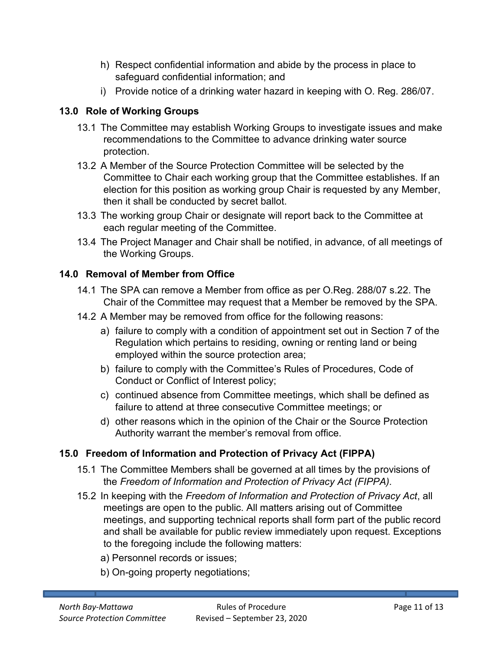- h) Respect confidential information and abide by the process in place to safeguard confidential information; and
- <span id="page-12-0"></span>i) Provide notice of a drinking water hazard in keeping with O. Reg. 286/07.

## **13.0 Role of Working Groups**

- 13.1 The Committee may establish Working Groups to investigate issues and make recommendations to the Committee to advance drinking water source protection.
- 13.2 A Member of the Source Protection Committee will be selected by the Committee to Chair each working group that the Committee establishes. If an election for this position as working group Chair is requested by any Member, then it shall be conducted by secret ballot.
- 13.3 The working group Chair or designate will report back to the Committee at each regular meeting of the Committee.
- 13.4 The Project Manager and Chair shall be notified, in advance, of all meetings of the Working Groups.

## **14.0 Removal of Member from Office**

- <span id="page-12-1"></span>14.1 The SPA can remove a Member from office as per O.Reg. 288/07 s.22. The Chair of the Committee may request that a Member be removed by the SPA.
- 14.2 A Member may be removed from office for the following reasons:
	- a) failure to comply with a condition of appointment set out in Section 7 of the Regulation which pertains to residing, owning or renting land or being employed within the source protection area;
	- b) failure to comply with the Committee's Rules of Procedures, Code of Conduct or Conflict of Interest policy;
	- c) continued absence from Committee meetings, which shall be defined as failure to attend at three consecutive Committee meetings; or
	- d) other reasons which in the opinion of the Chair or the Source Protection Authority warrant the member's removal from office.

# **15.0 Freedom of Information and Protection of Privacy Act (FIPPA)**

- <span id="page-12-2"></span>15.1 The Committee Members shall be governed at all times by the provisions of the *Freedom of Information and Protection of Privacy Act (FIPPA).*
- 15.2 In keeping with the *Freedom of Information and Protection of Privacy Act*, all meetings are open to the public. All matters arising out of Committee meetings, and supporting technical reports shall form part of the public record and shall be available for public review immediately upon request. Exceptions to the foregoing include the following matters:
	- a) Personnel records or issues;
	- b) On-going property negotiations;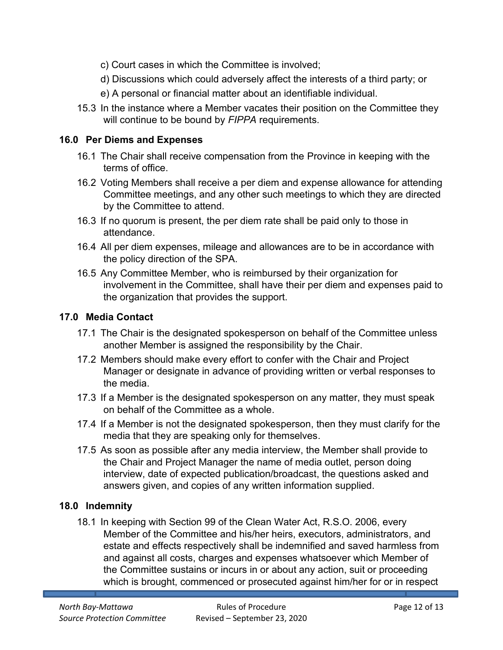- c) Court cases in which the Committee is involved;
- d) Discussions which could adversely affect the interests of a third party; or
- e) A personal or financial matter about an identifiable individual.
- 15.3 In the instance where a Member vacates their position on the Committee they will continue to be bound by *FIPPA* requirements.

#### **16.0 Per Diems and Expenses**

- <span id="page-13-0"></span>16.1 The Chair shall receive compensation from the Province in keeping with the terms of office.
- 16.2 Voting Members shall receive a per diem and expense allowance for attending Committee meetings, and any other such meetings to which they are directed by the Committee to attend.
- 16.3 If no quorum is present, the per diem rate shall be paid only to those in attendance.
- 16.4 All per diem expenses, mileage and allowances are to be in accordance with the policy direction of the SPA.
- 16.5 Any Committee Member, who is reimbursed by their organization for involvement in the Committee, shall have their per diem and expenses paid to the organization that provides the support.

#### <span id="page-13-1"></span>**17.0 Media Contact**

- 17.1 The Chair is the designated spokesperson on behalf of the Committee unless another Member is assigned the responsibility by the Chair.
- 17.2 Members should make every effort to confer with the Chair and Project Manager or designate in advance of providing written or verbal responses to the media.
- 17.3 If a Member is the designated spokesperson on any matter, they must speak on behalf of the Committee as a whole.
- 17.4 If a Member is not the designated spokesperson, then they must clarify for the media that they are speaking only for themselves.
- 17.5 As soon as possible after any media interview, the Member shall provide to the Chair and Project Manager the name of media outlet, person doing interview, date of expected publication/broadcast, the questions asked and answers given, and copies of any written information supplied.

#### **18.0 Indemnity**

<span id="page-13-2"></span>18.1 In keeping with Section 99 of the Clean Water Act, R.S.O. 2006, every Member of the Committee and his/her heirs, executors, administrators, and estate and effects respectively shall be indemnified and saved harmless from and against all costs, charges and expenses whatsoever which Member of the Committee sustains or incurs in or about any action, suit or proceeding which is brought, commenced or prosecuted against him/her for or in respect